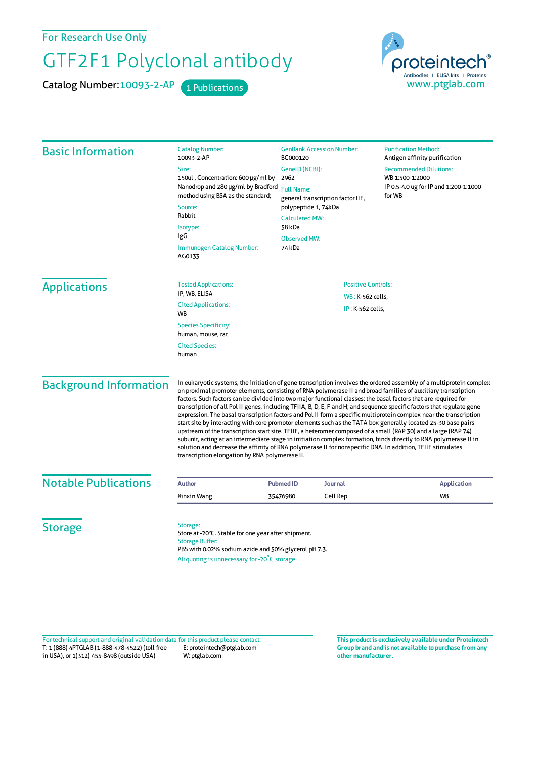For Research Use Only

## GTF2F1 Polyclonal antibody

Catalog Number: 10093-2-AP 1 Publications

proteintech Antibodies | ELISA kits | Proteins<br>WWW.ptglab.com

| <b>Basic Information</b>      | <b>Catalog Number:</b><br>10093-2-AP                                                                                                                                                                                                                                                                                                                                                                                                                                                                                                                                                                                                                                                                                                                                                                                                                                                                                                                                                                                                                                                                                          | <b>GenBank Accession Number:</b><br>BC000120                   |  | <b>Purification Method:</b><br>Antigen affinity purification                                        |
|-------------------------------|-------------------------------------------------------------------------------------------------------------------------------------------------------------------------------------------------------------------------------------------------------------------------------------------------------------------------------------------------------------------------------------------------------------------------------------------------------------------------------------------------------------------------------------------------------------------------------------------------------------------------------------------------------------------------------------------------------------------------------------------------------------------------------------------------------------------------------------------------------------------------------------------------------------------------------------------------------------------------------------------------------------------------------------------------------------------------------------------------------------------------------|----------------------------------------------------------------|--|-----------------------------------------------------------------------------------------------------|
|                               | GeneID (NCBI):<br>Size:                                                                                                                                                                                                                                                                                                                                                                                                                                                                                                                                                                                                                                                                                                                                                                                                                                                                                                                                                                                                                                                                                                       |                                                                |  | <b>Recommended Dilutions:</b><br>WB 1:500-1:2000<br>IP 0.5-4.0 ug for IP and 1:200-1:1000<br>for WB |
|                               | 150ul, Concentration: 600 µg/ml by                                                                                                                                                                                                                                                                                                                                                                                                                                                                                                                                                                                                                                                                                                                                                                                                                                                                                                                                                                                                                                                                                            | 2962<br><b>Full Name:</b><br>general transcription factor IIF, |  |                                                                                                     |
|                               | Nanodrop and 280 µg/ml by Bradford                                                                                                                                                                                                                                                                                                                                                                                                                                                                                                                                                                                                                                                                                                                                                                                                                                                                                                                                                                                                                                                                                            |                                                                |  |                                                                                                     |
|                               | method using BSA as the standard;<br>Source:                                                                                                                                                                                                                                                                                                                                                                                                                                                                                                                                                                                                                                                                                                                                                                                                                                                                                                                                                                                                                                                                                  |                                                                |  |                                                                                                     |
|                               | Rabbit                                                                                                                                                                                                                                                                                                                                                                                                                                                                                                                                                                                                                                                                                                                                                                                                                                                                                                                                                                                                                                                                                                                        | polypeptide 1, 74kDa                                           |  |                                                                                                     |
|                               | Isotype:                                                                                                                                                                                                                                                                                                                                                                                                                                                                                                                                                                                                                                                                                                                                                                                                                                                                                                                                                                                                                                                                                                                      | <b>Calculated MW:</b><br>58 kDa                                |  |                                                                                                     |
|                               | IgG                                                                                                                                                                                                                                                                                                                                                                                                                                                                                                                                                                                                                                                                                                                                                                                                                                                                                                                                                                                                                                                                                                                           | <b>Observed MW:</b>                                            |  |                                                                                                     |
|                               | Immunogen Catalog Number:<br>74 kDa<br>AG0133                                                                                                                                                                                                                                                                                                                                                                                                                                                                                                                                                                                                                                                                                                                                                                                                                                                                                                                                                                                                                                                                                 |                                                                |  |                                                                                                     |
| <b>Applications</b>           | <b>Tested Applications:</b><br>IP, WB, ELISA                                                                                                                                                                                                                                                                                                                                                                                                                                                                                                                                                                                                                                                                                                                                                                                                                                                                                                                                                                                                                                                                                  | <b>Positive Controls:</b>                                      |  |                                                                                                     |
|                               |                                                                                                                                                                                                                                                                                                                                                                                                                                                                                                                                                                                                                                                                                                                                                                                                                                                                                                                                                                                                                                                                                                                               | WB: K-562 cells,                                               |  |                                                                                                     |
|                               | <b>Cited Applications:</b><br><b>WB</b>                                                                                                                                                                                                                                                                                                                                                                                                                                                                                                                                                                                                                                                                                                                                                                                                                                                                                                                                                                                                                                                                                       | IP: K-562 cells,                                               |  |                                                                                                     |
|                               | <b>Species Specificity:</b>                                                                                                                                                                                                                                                                                                                                                                                                                                                                                                                                                                                                                                                                                                                                                                                                                                                                                                                                                                                                                                                                                                   |                                                                |  |                                                                                                     |
|                               | human, mouse, rat                                                                                                                                                                                                                                                                                                                                                                                                                                                                                                                                                                                                                                                                                                                                                                                                                                                                                                                                                                                                                                                                                                             |                                                                |  |                                                                                                     |
|                               | <b>Cited Species:</b><br>human                                                                                                                                                                                                                                                                                                                                                                                                                                                                                                                                                                                                                                                                                                                                                                                                                                                                                                                                                                                                                                                                                                |                                                                |  |                                                                                                     |
|                               |                                                                                                                                                                                                                                                                                                                                                                                                                                                                                                                                                                                                                                                                                                                                                                                                                                                                                                                                                                                                                                                                                                                               |                                                                |  |                                                                                                     |
| <b>Background Information</b> | In eukaryotic systems, the initiation of gene transcription involves the ordered assembly of a multiprotein complex<br>on proximal promoter elements, consisting of RNA polymerase II and broad families of auxiliary transcription<br>factors. Such factors can be divided into two major functional classes: the basal factors that are required for<br>transcription of all Pol II genes, including TFIIA, B, D, E, F and H; and sequence specific factors that regulate gene<br>expression. The basal transcription factors and Pol II form a specific multiprotein complex near the transcription<br>start site by interacting with core promotor elements such as the TATA box generally located 25-30 base pairs<br>upstream of the transcription start site. TFIIF, a heteromer composed of a small (RAP 30) and a large (RAP 74)<br>subunit, acting at an intermediate stage in initiation complex formation, binds directly to RNA polymerase II in<br>solution and decrease the affinity of RNA polymerase II for nonspecific DNA. In addition, TFIIF stimulates<br>transcription elongation by RNA polymerase II. |                                                                |  |                                                                                                     |
| <b>Notable Publications</b>   | <b>Author</b>                                                                                                                                                                                                                                                                                                                                                                                                                                                                                                                                                                                                                                                                                                                                                                                                                                                                                                                                                                                                                                                                                                                 | <b>Journal</b><br><b>Pubmed ID</b>                             |  | <b>Application</b>                                                                                  |
|                               | Xinxin Wang                                                                                                                                                                                                                                                                                                                                                                                                                                                                                                                                                                                                                                                                                                                                                                                                                                                                                                                                                                                                                                                                                                                   | Cell Rep<br>35476980                                           |  | <b>WB</b>                                                                                           |
|                               |                                                                                                                                                                                                                                                                                                                                                                                                                                                                                                                                                                                                                                                                                                                                                                                                                                                                                                                                                                                                                                                                                                                               |                                                                |  |                                                                                                     |
| <b>Storage</b>                | Storage:<br>Store at -20°C. Stable for one year after shipment.                                                                                                                                                                                                                                                                                                                                                                                                                                                                                                                                                                                                                                                                                                                                                                                                                                                                                                                                                                                                                                                               |                                                                |  |                                                                                                     |
|                               | <b>Storage Buffer:</b>                                                                                                                                                                                                                                                                                                                                                                                                                                                                                                                                                                                                                                                                                                                                                                                                                                                                                                                                                                                                                                                                                                        |                                                                |  |                                                                                                     |
|                               | PBS with 0.02% sodium azide and 50% glycerol pH 7.3.                                                                                                                                                                                                                                                                                                                                                                                                                                                                                                                                                                                                                                                                                                                                                                                                                                                                                                                                                                                                                                                                          |                                                                |  |                                                                                                     |
|                               | Aliquoting is unnecessary for -20°C storage                                                                                                                                                                                                                                                                                                                                                                                                                                                                                                                                                                                                                                                                                                                                                                                                                                                                                                                                                                                                                                                                                   |                                                                |  |                                                                                                     |

T: 1 (888) 4PTGLAB (1-888-478-4522) (toll free in USA), or 1(312) 455-8498 (outside USA) E: proteintech@ptglab.com W: ptglab.com Fortechnical support and original validation data forthis product please contact: **This productis exclusively available under Proteintech**

**Group brand and is not available to purchase from any other manufacturer.**